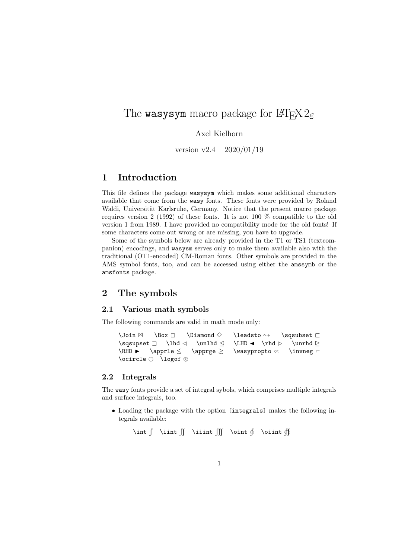# The wasysym macro package for  $\text{MTEX} 2_{\epsilon}$

### Axel Kielhorn

version  $v2.4 - 2020/01/19$ 

# 1 Introduction

This file defines the package wasysym which makes some additional characters available that come from the wasy fonts. These fonts were provided by Roland Waldi, Universität Karlsruhe, Germany. Notice that the present macro package requires version 2 (1992) of these fonts. It is not 100 % compatible to the old version 1 from 1989. I have provided no compatibility mode for the old fonts! If some characters come out wrong or are missing, you have to upgrade.

Some of the symbols below are already provided in the T1 or TS1 (textcompanion) encodings, and wasysm serves only to make them available also with the traditional (OT1-encoded) CM-Roman fonts. Other symbols are provided in the AMS symbol fonts, too, and can be accessed using either the amssymb or the amsfonts package.

### 2 The symbols

#### 2.1 Various math symbols

The following commands are valid in math mode only:

```
\Join \mathbb{Z} \Box \Box \Diamond \Diamond \leadsto \Diamond \sqsubset \Box \lhd \Diamond \LHD \Diamond \rhd \Diamond\sqsupset \Box \lhd \triangle \unlhd \triangle \RHD \blacktriangleright \apprle \triangle\LHD \bullet \rhd \triangleright \unrhd \triangleright<br>\wasypropto \ltimes \invneg \vdash\langlewasypropto \propto\ocircle \odot \lozenge
```
#### 2.2 Integrals

The wasy fonts provide a set of integral sybols, which comprises multiple integrals and surface integrals, too.

• Loading the package with the option [integrals] makes the following integrals available:

\int  $\int \int \int \int \int \int \int \phi$  \oint  $\oint$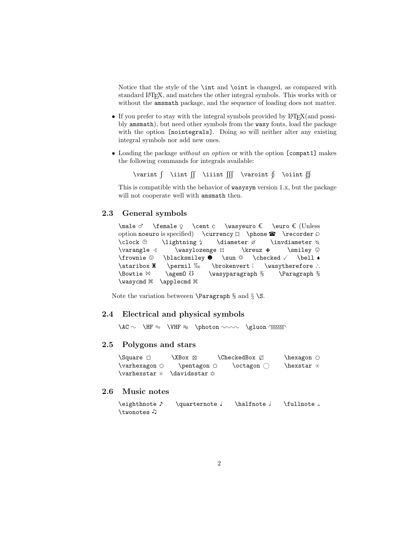Notice that the style of the \int and \oint is changed, as compared with standard LATEX, and matches the other integral symbols. This works with or without the amsmath package, and the sequence of loading does not matter.

- If you prefer to stay with the integral symbols provided by  $\text{LATEX}(and$  possibly amsmath), but need other symbols from the wasy fonts, load the package with the option [nointegrals]. Doing so will neither alter any existing integral symbols nor add new ones.
- Loading the package without an option or with the option [compat1] makes the following commands for integrals available:

\varint  $\int \int \int \int \int \int \arcsin t \int \int \arcsin t \int \arcsin t$ 

This is compatible with the behavior of wasysym version 1.x, but the package will not cooperate well with amsmath then.

### 2.3 General symbols

\male ♂ \female ♀ \cent ¢ \wasyeuro € \euro € (Unless option noeuro is specified) \currency  $\Box$  \recorder  $\Diamond$  \clock  $\oplus$  \lightning \ \diameter  $\emptyset$  \invdiameter  $\Diamond$ \clock  $\Theta$  \lightning  $\theta$  \diameter  $\emptyset$  \invdiameter  $\triangle$  \wasylozenge  $\Box$  \kreuz  $\angle$  \smiley  $\odot$ \varangle \wasylozenge ◊ \kreuz 6 \smiley , \frownie  $\Diamond \blacksquare$  \blacksmiley  $\Diamond \tarepsilon \land \dagger \ \lambda \land \barepsilon \land \barepsilon \land \barepsilon \land \barepsilon \land \barepsilon \land \barepsilon \land \barepsilon \land \barepsilon \land \barepsilon \land \barepsilon \land \barepsilon \land \barepsilon \land \barepsilon \land \barepsilon \land \barepsilon \land \barepsilon \land \barepsilon \land \barepsilon \land \barepsilon \land \barepsilon \land \barepsilon \land \barepsilon \land \barepsilon \land \barepsilon \land \barepsilon \land \barepsilon \land \barepsilon \land \barepsilon \land \barepsilon \$ \bell \* \ataribox **%** \permil ‰ \brokenvert | \wasytherefore ∴<br>\Bowtie  $\bowtie$  \agem0 \ \wasyparagraph § \Paragraph §  $\wedge$ wasyparagraph  $\S$ \wasycmd \\ \applecmd \\

Note the variation between  $\$ raragraph § and § \S.

#### 2.4 Electrical and physical symbols

 $\AC \sim \H F \approx \V HF \approx \ph{photon} \sim \gluon \m{B}$ 

#### 2.5 Polygons and stars

 $\label{eq:Q} $$\Square \Box \ XBox \boxtimes \CheckedBox \Box \hexagon \O \varhexagon \O \varhexagon \O \herstar \wech \Box \zeta. $$$  $\varphi \cap \varphi$  $\vartheta * \dagger$  \davidsstar  $\circ$ 

#### 2.6 Music notes

\eighthnote ♪ \quarternote 』 \halfnote 』 \fullnote 。 \twonotes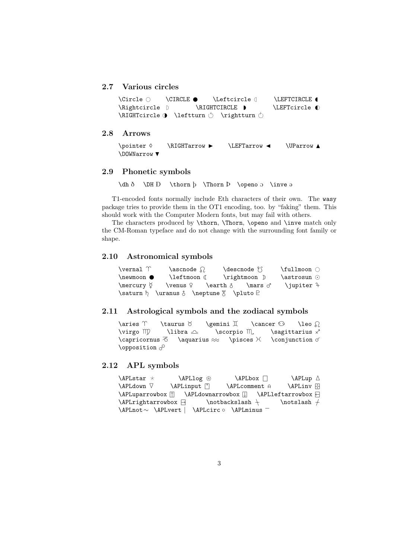### 2.7 Various circles

```
\Circle # \CIRCLE \Leftcircle I \LEFTCIRCLE G
\Lambda )
\RIGHTcircle H# \leftturn " \rightturn !
```
### 2.8 Arrows

```
\overline{\varphi} \RIGHTarrow \L{EFTarrow} \UParrow \Delta\DOWNarrow \blacktriangledown
```
#### 2.9 Phonetic symbols

 $\label{thm} $$\dh \delta \h DH D \thorm \h \Thorm D \open{1} \oplus \in \mathbb{D} \atop \min\limits$ 

T1-encoded fonts normally include Eth characters of their own. The wasy package tries to provide them in the OT1 encoding, too. by "faking" them. This should work with the Computer Modern fonts, but may fail with others.

The characters produced by \thorn, \Thorn, \openo and \inve match only the CM-Roman typeface and do not change with the surrounding font family or shape.

#### 2.10 Astronomical symbols

| <b>\vernal</b> 个 | $\lambda$                                      | $\text{desonode}$ ? | $\tilde{\cup}$ |
|------------------|------------------------------------------------|---------------------|----------------|
| $\neq$           | <b>\leftmoon</b> (                             | \rightmoon D        | $\ast$         |
| ∖mercury ¤       | <b>\venus ♀   \earth</b> た                     | $\text{mars}$       | \jupiter 4     |
|                  | $\s{$ by $\lambda$ of $\lambda$ of $\lambda$ . |                     |                |

#### 2.11 Astrological symbols and the zodiacal symbols

```
\aries \Upsilon \taurus \sigma \gemini \pi \cancer \Omega \leo \Omega\virgo \mathbb{D} \libra \triangle \scorpio \mathbb{D} \sagittarius \times\capricornus \overline{\diamond} \aquarius \approx \pisces \times \conjunction o'
\opposition o^{\circ}
```
#### 2.12 APL symbols

\APLstar  $\star$  \APLlog  $\otimes$  \APLbox  $\Box$  \APLup  $\Delta$  \APLdown  $\nabla$  \APLinput  $\P$  \APLcomment  $\varphi$  \APLinv  $\Box$ \APLdown <sup>F</sup> \APLinput } \APLcomment \APLinv <sup>÷</sup><sup>~</sup>  $\Delta$ PLuparrowbox  $\Box$   $\Delta$ PLdownarrowbox  $\Box$   $\Delta$ PLleftarrowbox p  $\Delta$ \APLnot∼ \APLvert | \APLcirc ◦ \APLminus −